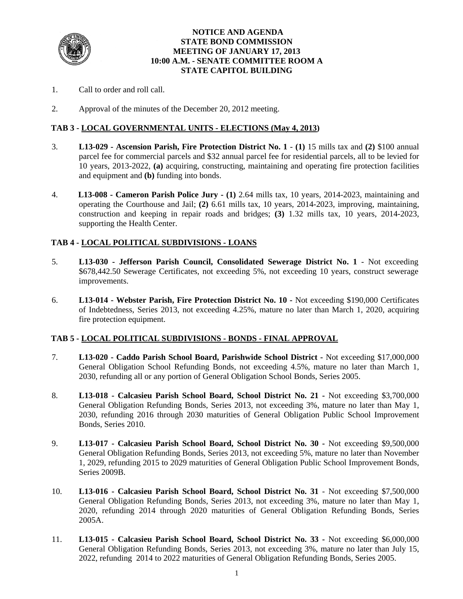

### **NOTICE AND AGENDA STATE BOND COMMISSION MEETING OF JANUARY 17, 2013 10:00 A.M. - SENATE COMMITTEE ROOM A STATE CAPITOL BUILDING**

- 1. Call to order and roll call.
- 2. Approval of the minutes of the December 20, 2012 meeting.

## **TAB 3 - LOCAL GOVERNMENTAL UNITS - ELECTIONS (May 4, 2013)**

- 3. **L13-029 Ascension Parish, Fire Protection District No. 1 (1)** 15 mills tax and **(2)** \$100 annual parcel fee for commercial parcels and \$32 annual parcel fee for residential parcels, all to be levied for 10 years, 2013-2022, **(a)** acquiring, constructing, maintaining and operating fire protection facilities and equipment and **(b)** funding into bonds.
- 4. **L13-008 Cameron Parish Police Jury - (1)** 2.64 mills tax, 10 years, 2014-2023, maintaining and operating the Courthouse and Jail; **(2)** 6.61 mills tax, 10 years, 2014-2023, improving, maintaining, construction and keeping in repair roads and bridges; **(3)** 1.32 mills tax, 10 years, 2014-2023, supporting the Health Center.

### **TAB 4 - LOCAL POLITICAL SUBDIVISIONS - LOANS**

- 5. **L13-030 - Jefferson Parish Council, Consolidated Sewerage District No. 1** Not exceeding \$678,442.50 Sewerage Certificates, not exceeding 5%, not exceeding 10 years, construct sewerage improvements.
- 6. **L13-014 Webster Parish, Fire Protection District No. 10** Not exceeding \$190,000 Certificates of Indebtedness, Series 2013, not exceeding 4.25%, mature no later than March 1, 2020, acquiring fire protection equipment.

### **TAB 5 - LOCAL POLITICAL SUBDIVISIONS - BONDS - FINAL APPROVAL**

- 7. **L13-020 Caddo Parish School Board, Parishwide School District** Not exceeding \$17,000,000 General Obligation School Refunding Bonds, not exceeding 4.5%, mature no later than March 1, 2030, refunding all or any portion of General Obligation School Bonds, Series 2005.
- 8. **L13-018 Calcasieu Parish School Board, School District No. 21 -** Not exceeding \$3,700,000 General Obligation Refunding Bonds, Series 2013, not exceeding 3%, mature no later than May 1, 2030, refunding 2016 through 2030 maturities of General Obligation Public School Improvement Bonds, Series 2010.
- 9. **L13-017 Calcasieu Parish School Board, School District No. 30** Not exceeding \$9,500,000 General Obligation Refunding Bonds, Series 2013, not exceeding 5%, mature no later than November 1, 2029, refunding 2015 to 2029 maturities of General Obligation Public School Improvement Bonds, Series 2009B.
- 10. **L13-016 Calcasieu Parish School Board, School District No. 31** Not exceeding \$7,500,000 General Obligation Refunding Bonds, Series 2013, not exceeding 3%, mature no later than May 1, 2020, refunding 2014 through 2020 maturities of General Obligation Refunding Bonds, Series 2005A.
- 11. **L13-015 Calcasieu Parish School Board, School District No. 33** Not exceeding \$6,000,000 General Obligation Refunding Bonds, Series 2013, not exceeding 3%, mature no later than July 15, 2022, refunding 2014 to 2022 maturities of General Obligation Refunding Bonds, Series 2005.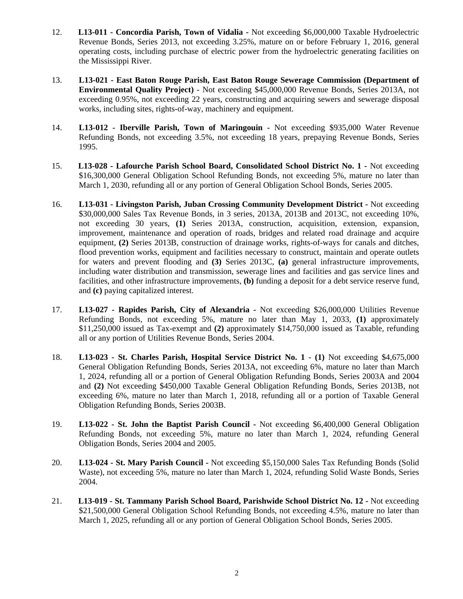- 12. **L13-011 Concordia Parish, Town of Vidalia** Not exceeding \$6,000,000 Taxable Hydroelectric Revenue Bonds, Series 2013, not exceeding 3.25%, mature on or before February 1, 2016, general operating costs, including purchase of electric power from the hydroelectric generating facilities on the Mississippi River.
- 13. **L13-021 East Baton Rouge Parish, East Baton Rouge Sewerage Commission (Department of Environmental Quality Project)** - Not exceeding \$45,000,000 Revenue Bonds, Series 2013A, not exceeding 0.95%, not exceeding 22 years, constructing and acquiring sewers and sewerage disposal works, including sites, rights-of-way, machinery and equipment.
- 14. **L13-012 Iberville Parish, Town of Maringouin** Not exceeding \$935,000 Water Revenue Refunding Bonds, not exceeding 3.5%, not exceeding 18 years, prepaying Revenue Bonds, Series 1995.
- 15. **L13-028 Lafourche Parish School Board, Consolidated School District No. 1** Not exceeding \$16,300,000 General Obligation School Refunding Bonds, not exceeding 5%, mature no later than March 1, 2030, refunding all or any portion of General Obligation School Bonds, Series 2005.
- 16. **L13-031 Livingston Parish, Juban Crossing Community Development District -** Not exceeding \$30,000,000 Sales Tax Revenue Bonds, in 3 series, 2013A, 2013B and 2013C, not exceeding 10%, not exceeding 30 years, **(1)** Series 2013A, construction, acquisition, extension, expansion, improvement, maintenance and operation of roads, bridges and related road drainage and acquire equipment, **(2)** Series 2013B, construction of drainage works, rights-of-ways for canals and ditches, flood prevention works, equipment and facilities necessary to construct, maintain and operate outlets for waters and prevent flooding and **(3)** Series 2013C, **(a)** general infrastructure improvements, including water distribution and transmission, sewerage lines and facilities and gas service lines and facilities, and other infrastructure improvements, **(b)** funding a deposit for a debt service reserve fund, and **(c)** paying capitalized interest.
- 17. **L13-027 Rapides Parish, City of Alexandria** Not exceeding \$26,000,000 Utilities Revenue Refunding Bonds, not exceeding 5%, mature no later than May 1, 2033, **(1)** approximately \$11,250,000 issued as Tax-exempt and **(2)** approximately \$14,750,000 issued as Taxable, refunding all or any portion of Utilities Revenue Bonds, Series 2004.
- 18. **L13-023 St. Charles Parish, Hospital Service District No. 1 (1)** Not exceeding \$4,675,000 General Obligation Refunding Bonds, Series 2013A, not exceeding 6%, mature no later than March 1, 2024, refunding all or a portion of General Obligation Refunding Bonds, Series 2003A and 2004 and **(2)** Not exceeding \$450,000 Taxable General Obligation Refunding Bonds, Series 2013B, not exceeding 6%, mature no later than March 1, 2018, refunding all or a portion of Taxable General Obligation Refunding Bonds, Series 2003B.
- 19. **L13-022 St. John the Baptist Parish Council** Not exceeding \$6,400,000 General Obligation Refunding Bonds, not exceeding 5%, mature no later than March 1, 2024, refunding General Obligation Bonds, Series 2004 and 2005.
- 20. **L13-024 St. Mary Parish Council** Not exceeding \$5,150,000 Sales Tax Refunding Bonds (Solid Waste), not exceeding 5%, mature no later than March 1, 2024, refunding Solid Waste Bonds, Series 2004.
- 21. **L13-019 St. Tammany Parish School Board, Parishwide School District No. 12** Not exceeding \$21,500,000 General Obligation School Refunding Bonds, not exceeding 4.5%, mature no later than March 1, 2025, refunding all or any portion of General Obligation School Bonds, Series 2005.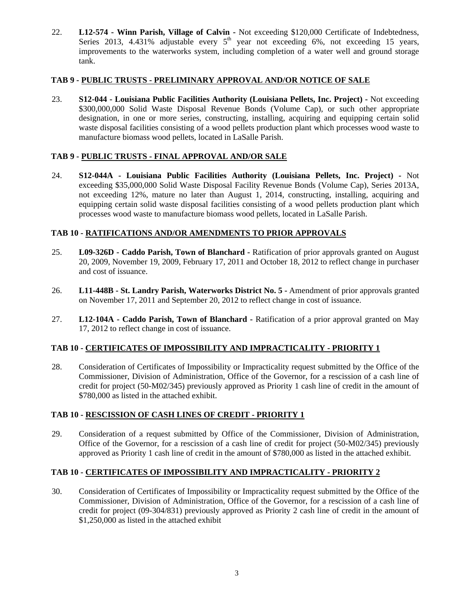22. **L12-574 - Winn Parish, Village of Calvin -** Not exceeding \$120,000 Certificate of Indebtedness, Series 2013, 4.431% adjustable every  $5<sup>th</sup>$  year not exceeding 6%, not exceeding 15 years, improvements to the waterworks system, including completion of a water well and ground storage tank.

### **TAB 9 - PUBLIC TRUSTS - PRELIMINARY APPROVAL AND/OR NOTICE OF SALE**

23. **S12-044 - Louisiana Public Facilities Authority (Louisiana Pellets, Inc. Project) -** Not exceeding \$300,000,000 Solid Waste Disposal Revenue Bonds (Volume Cap), or such other appropriate designation, in one or more series, constructing, installing, acquiring and equipping certain solid waste disposal facilities consisting of a wood pellets production plant which processes wood waste to manufacture biomass wood pellets, located in LaSalle Parish.

## **TAB 9 - PUBLIC TRUSTS - FINAL APPROVAL AND/OR SALE**

24. **S12-044A - Louisiana Public Facilities Authority (Louisiana Pellets, Inc. Project) -** Not exceeding \$35,000,000 Solid Waste Disposal Facility Revenue Bonds (Volume Cap), Series 2013A, not exceeding 12%, mature no later than August 1, 2014, constructing, installing, acquiring and equipping certain solid waste disposal facilities consisting of a wood pellets production plant which processes wood waste to manufacture biomass wood pellets, located in LaSalle Parish.

### **TAB 10 - RATIFICATIONS AND/OR AMENDMENTS TO PRIOR APPROVALS**

- 25. **L09-326D Caddo Parish, Town of Blanchard** Ratification of prior approvals granted on August 20, 2009, November 19, 2009, February 17, 2011 and October 18, 2012 to reflect change in purchaser and cost of issuance.
- 26. L11-448B St. Landry Parish, Waterworks District No. 5 Amendment of prior approvals granted on November 17, 2011 and September 20, 2012 to reflect change in cost of issuance.
- 27. **L12-104A Caddo Parish, Town of Blanchard** Ratification of a prior approval granted on May 17, 2012 to reflect change in cost of issuance.

### **TAB 10 - CERTIFICATES OF IMPOSSIBILITY AND IMPRACTICALITY - PRIORITY 1**

28. Consideration of Certificates of Impossibility or Impracticality request submitted by the Office of the Commissioner, Division of Administration, Office of the Governor, for a rescission of a cash line of credit for project (50-M02/345) previously approved as Priority 1 cash line of credit in the amount of \$780,000 as listed in the attached exhibit.

### **TAB 10 - RESCISSION OF CASH LINES OF CREDIT - PRIORITY 1**

29. Consideration of a request submitted by Office of the Commissioner, Division of Administration, Office of the Governor, for a rescission of a cash line of credit for project (50-M02/345) previously approved as Priority 1 cash line of credit in the amount of \$780,000 as listed in the attached exhibit.

## **TAB 10 - CERTIFICATES OF IMPOSSIBILITY AND IMPRACTICALITY - PRIORITY 2**

30. Consideration of Certificates of Impossibility or Impracticality request submitted by the Office of the Commissioner, Division of Administration, Office of the Governor, for a rescission of a cash line of credit for project (09-304/831) previously approved as Priority 2 cash line of credit in the amount of \$1,250,000 as listed in the attached exhibit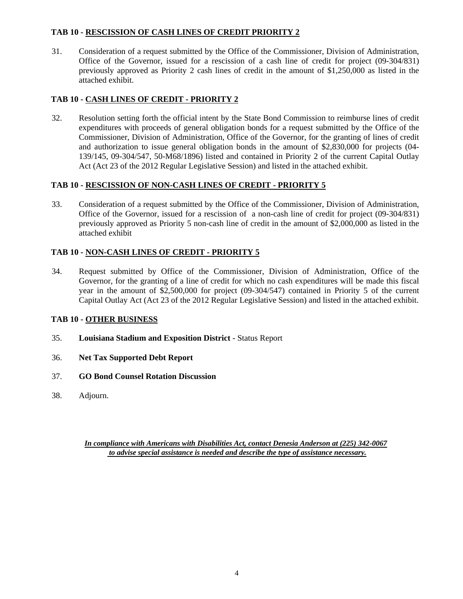## **TAB 10 - RESCISSION OF CASH LINES OF CREDIT PRIORITY 2**

31. Consideration of a request submitted by the Office of the Commissioner, Division of Administration, Office of the Governor, issued for a rescission of a cash line of credit for project (09-304/831) previously approved as Priority 2 cash lines of credit in the amount of \$1,250,000 as listed in the attached exhibit.

## **TAB 10 - CASH LINES OF CREDIT - PRIORITY 2**

32. Resolution setting forth the official intent by the State Bond Commission to reimburse lines of credit expenditures with proceeds of general obligation bonds for a request submitted by the Office of the Commissioner, Division of Administration, Office of the Governor, for the granting of lines of credit and authorization to issue general obligation bonds in the amount of \$2,830,000 for projects (04- 139/145, 09-304/547, 50-M68/1896) listed and contained in Priority 2 of the current Capital Outlay Act (Act 23 of the 2012 Regular Legislative Session) and listed in the attached exhibit.

## **TAB 10 - RESCISSION OF NON-CASH LINES OF CREDIT - PRIORITY 5**

33. Consideration of a request submitted by the Office of the Commissioner, Division of Administration, Office of the Governor, issued for a rescission of a non-cash line of credit for project (09-304/831) previously approved as Priority 5 non-cash line of credit in the amount of \$2,000,000 as listed in the attached exhibit

## **TAB 10 - NON-CASH LINES OF CREDIT - PRIORITY 5**

34. Request submitted by Office of the Commissioner, Division of Administration, Office of the Governor, for the granting of a line of credit for which no cash expenditures will be made this fiscal year in the amount of \$2,500,000 for project (09-304/547) contained in Priority 5 of the current Capital Outlay Act (Act 23 of the 2012 Regular Legislative Session) and listed in the attached exhibit.

## **TAB 10 - OTHER BUSINESS**

- 35. **Louisiana Stadium and Exposition District** Status Report
- 36. **Net Tax Supported Debt Report**
- 37. **GO Bond Counsel Rotation Discussion**
- 38. Adjourn.

*In compliance with Americans with Disabilities Act, contact Denesia Anderson at (225) 342-0067 to advise special assistance is needed and describe the type of assistance necessary.*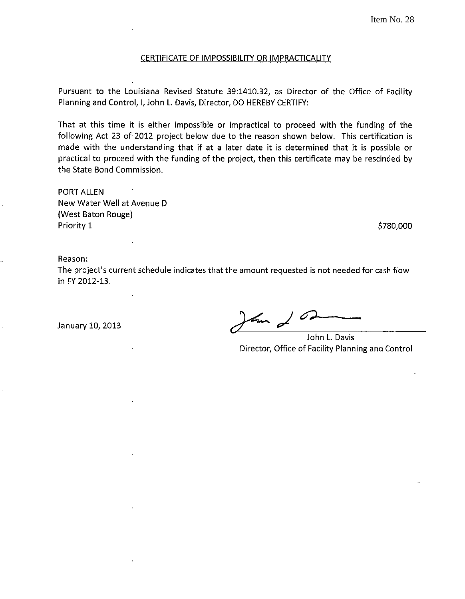#### CERTIFICATE OF IMPOSSIBILITY OR IMPRACTICALITY

Pursuant to the Louisiana Revised Statute 39:1410.32, as Director of the Office of Facility Planning and Control, I, John L. Davis, Director, DO HEREBY CERTIFY:

That at this time it is either impossible or impractical to proceed with the funding of the following Act 23 of 2012 project below due to the reason shown below. This certification is made with the understanding that if at a later date it is determined that it is possible or practical to proceed with the funding of the project, then this certificate may be rescinded by the State Bond Commission.

PORT ALLEN New Water Well at Avenue D (West Baton Rouge) Priority 1

\$780,000

Reason:

The project's current schedule indicates that the amount requested is not needed for cash flow in FY 2012-13.

January 10, 2013  $\sqrt{4m}$ 

John L. Davis Director, Office of Facility Planning and Control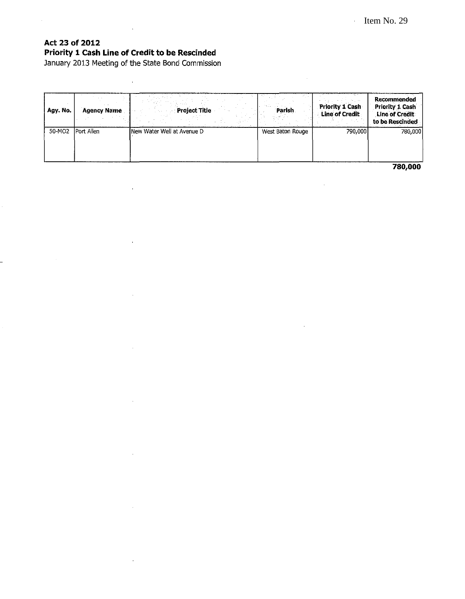# **Act 23 of 2012 Priority 1 Cash Line of Credit to be Rescinded**

January 2013 Meeting of the State Bond Commission

 $\bar{\alpha}$ 

 $\bar{z}$ 

 $\ddot{\phantom{a}}$ 

| Agy. No. | <b>Agency Name</b> | <b>Project Title</b>        | <b>Parish</b>    | Priority 1 Cash<br><b>Line of Credit</b> | Recommended<br>Priority 1 Cash<br>Line of Credit<br>to be Rescinded |
|----------|--------------------|-----------------------------|------------------|------------------------------------------|---------------------------------------------------------------------|
| 50-MO2   | Port Allen         | INew Water Well at Avenue D | West Baton Rouge | 790,000                                  | 780,000                                                             |

**780,000**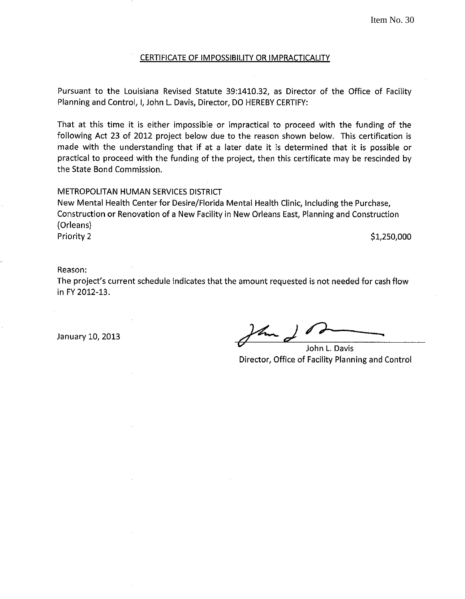#### CERTIFICATE OF IMPOSSIBILITY OR IMPRACTICALITY

Pursuant to the Louisiana Revised Statute 39:1410.32, as Director of the Office of Facility Planning and Control, I, John L. Davis, Director, DO HEREBY CERTIFY:

That at this time it is either impossible or impractical to proceed with the funding of the following Act 23 of 2012 project below due to the reason shown below. This certification is made with the understanding that if at a later date it is determined that it is possible or practical to proceed with the funding of the project, then this certificate may be rescinded by the State Bond Commission.

#### METROPOLITAN HUMAN SERVICES DISTRICT

New Mental Health Center for Desire/Florida Mental Health Clinic, Including the Purchase, Construction or Renovation of a New Facility in New Orleans East, Planning and Construction (Orleans) Priority 2  $\textnormal{S1,250,000}$ 

#### Reason:

The project's current schedule indicates that the amount requested is not needed for cash flow in FY 2012-13.

January 10, 2013  $\sqrt{4\pi}$ 

John L. Davis Director, Office of Facility Planning and Control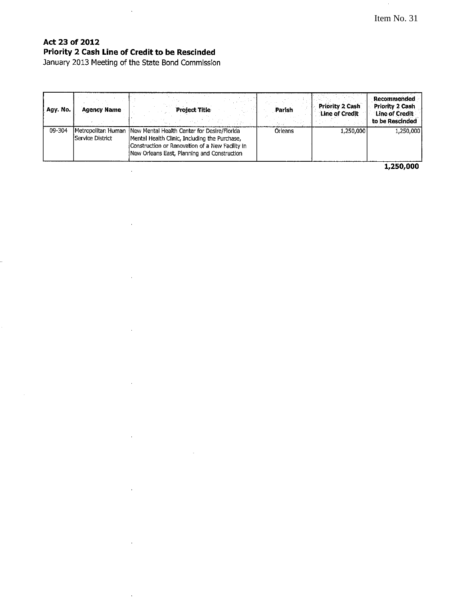# **Act 23 of 2012 Priority 2 Cash Line of Credit to be Rescinded**

 $\sim$ 

January 2013 Meeting of the State Bond Commission

 $\sim$   $\mu$ 

 $\bar{z}$ 

 $\sim$ 

 $\sim$ 

 $\mathcal{A}$ 

 $\alpha$ 

 $\sim$ 

 $\sim$ 

 $\bar{z}$ 

 $\mathcal{A}$ 

| Agy. No. | <b>Agency Name</b>      | <b>Project Title</b>                                                                                                                                                                                               | Parish         | <b>Priority 2 Cash</b><br>Line of Credit | Recommended<br><b>Priority 2 Cash</b><br>Line of Credit<br>to be Rescinded |
|----------|-------------------------|--------------------------------------------------------------------------------------------------------------------------------------------------------------------------------------------------------------------|----------------|------------------------------------------|----------------------------------------------------------------------------|
| 09-304   | <b>Service District</b> | Metropolitan Human  New Mental Health Center for Desire/Florida<br>Mental Health Clinic, Including the Purchase,<br>Construction or Renovation of a New Facility in<br>New Orleans East, Planning and Construction | <b>Orleans</b> | 1,250,000                                | 1,250,000                                                                  |

**1,250,000**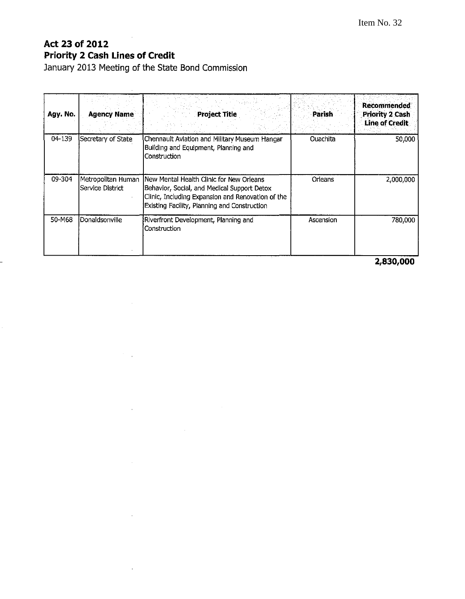### $\sim$ **Act 23 of 2012 Priority 2 Cash Lines of Credit**

**January 2013 Meeting of the State Bond Commission** 

 $\sim 10^{-11}$ 

 $\mathcal{F}^{\mathcal{G}}_{\mathcal{G}}$  .

 $\mathcal{L}_{\text{max}}$ 

 $\sim 10^{-10}$ 

 $\bar{z}$ 

 $\sim$ 

| Agy. No. | <b>Agency Name</b>                     | <b>Project Title</b>                                                                                                                                                                          | Parish    | <b>Recommended</b><br><b>Priority 2 Cash</b><br><b>Line of Credit</b> |
|----------|----------------------------------------|-----------------------------------------------------------------------------------------------------------------------------------------------------------------------------------------------|-----------|-----------------------------------------------------------------------|
| 04-139   | Secretary of State                     | Chennault Aviation and Military Museum Hangar<br>Building and Equipment, Planning and<br>Construction                                                                                         | Ouachita  | 50,000                                                                |
| 09-304   | Metropolitan Human<br>Service District | INew Mental Health Clinic for New Orleans<br>Behavior, Social, and Medical Support Detox<br>Clinic, Including Expansion and Renovation of the<br>Existing Facility, Planning and Construction | Orleans   | 2,000,000                                                             |
| 50-M68   | Donaldsonville                         | Riverfront Development, Planning and<br>Construction                                                                                                                                          | Ascension | 780,000                                                               |

 $\mathcal{L}^{\text{max}}_{\text{max}}$ 

**2,830,000**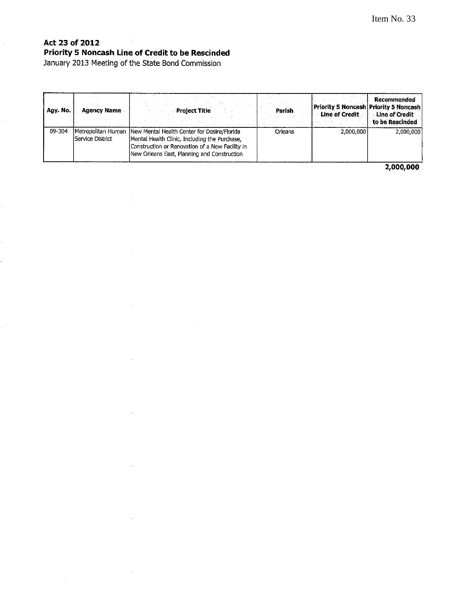#### $\bar{z}$ **Act 23 of 2012 Priority 5 Noncash Line of Credit to be Rescinded**

January 2013 Meeting of the State Bond Commission

 $\bar{1}$ 

 $\bar{1}$ 

 $\bar{1}$ 

 $\ddot{\phantom{a}}$ 

 $\hat{\mathcal{A}}$ 

 $\sim$ 

l,

| Agy. No. | <b>Agency Name</b>                      | <b>Project Title</b>                                                                                                                                                                           | Parish  | Priority 5 Noncash Priority 5 Noncash<br>Line of Credit | <b>Recommended</b><br>Line of Credit<br>to be Rescinded |
|----------|-----------------------------------------|------------------------------------------------------------------------------------------------------------------------------------------------------------------------------------------------|---------|---------------------------------------------------------|---------------------------------------------------------|
| 09-304   | Metropolitan Human<br> Service District | New Mental Health Center for Desire/Florida<br>Mental Health Clinic, Including the Purchase,<br>Construction or Renovation of a New Facility in<br>New Orleans East, Planning and Construction | Orleans | 2.000.000                                               | 2,000,000                                               |

 $\mathcal{A}$ 

**2,000,000**